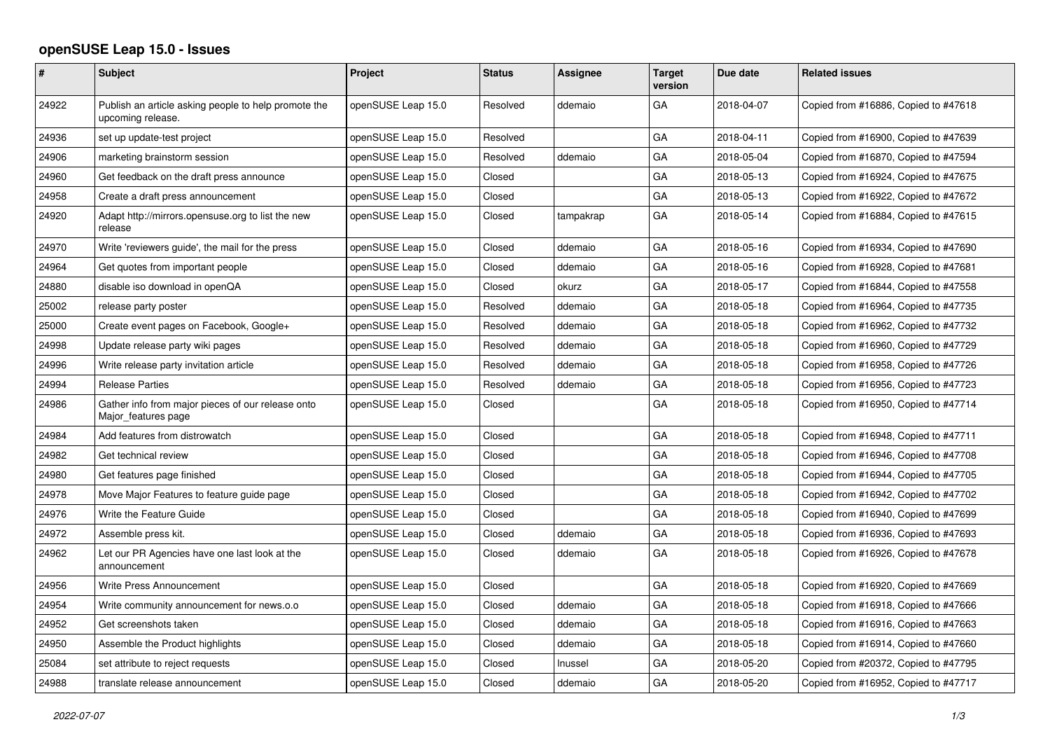## **openSUSE Leap 15.0 - Issues**

| #     | Subject                                                                   | Project            | <b>Status</b> | <b>Assignee</b> | <b>Target</b><br>version | Due date   | <b>Related issues</b>                |
|-------|---------------------------------------------------------------------------|--------------------|---------------|-----------------|--------------------------|------------|--------------------------------------|
| 24922 | Publish an article asking people to help promote the<br>upcoming release. | openSUSE Leap 15.0 | Resolved      | ddemaio         | GA                       | 2018-04-07 | Copied from #16886, Copied to #47618 |
| 24936 | set up update-test project                                                | openSUSE Leap 15.0 | Resolved      |                 | GA                       | 2018-04-11 | Copied from #16900, Copied to #47639 |
| 24906 | marketing brainstorm session                                              | openSUSE Leap 15.0 | Resolved      | ddemaio         | GA                       | 2018-05-04 | Copied from #16870, Copied to #47594 |
| 24960 | Get feedback on the draft press announce                                  | openSUSE Leap 15.0 | Closed        |                 | GA                       | 2018-05-13 | Copied from #16924, Copied to #47675 |
| 24958 | Create a draft press announcement                                         | openSUSE Leap 15.0 | Closed        |                 | GA                       | 2018-05-13 | Copied from #16922, Copied to #47672 |
| 24920 | Adapt http://mirrors.opensuse.org to list the new<br>release              | openSUSE Leap 15.0 | Closed        | tampakrap       | GA                       | 2018-05-14 | Copied from #16884, Copied to #47615 |
| 24970 | Write 'reviewers guide', the mail for the press                           | openSUSE Leap 15.0 | Closed        | ddemaio         | GA                       | 2018-05-16 | Copied from #16934, Copied to #47690 |
| 24964 | Get quotes from important people                                          | openSUSE Leap 15.0 | Closed        | ddemaio         | GA                       | 2018-05-16 | Copied from #16928, Copied to #47681 |
| 24880 | disable iso download in openQA                                            | openSUSE Leap 15.0 | Closed        | okurz           | GA                       | 2018-05-17 | Copied from #16844, Copied to #47558 |
| 25002 | release party poster                                                      | openSUSE Leap 15.0 | Resolved      | ddemaio         | GA                       | 2018-05-18 | Copied from #16964, Copied to #47735 |
| 25000 | Create event pages on Facebook, Google+                                   | openSUSE Leap 15.0 | Resolved      | ddemaio         | GA                       | 2018-05-18 | Copied from #16962, Copied to #47732 |
| 24998 | Update release party wiki pages                                           | openSUSE Leap 15.0 | Resolved      | ddemaio         | GA                       | 2018-05-18 | Copied from #16960, Copied to #47729 |
| 24996 | Write release party invitation article                                    | openSUSE Leap 15.0 | Resolved      | ddemaio         | GA                       | 2018-05-18 | Copied from #16958, Copied to #47726 |
| 24994 | <b>Release Parties</b>                                                    | openSUSE Leap 15.0 | Resolved      | ddemaio         | GA                       | 2018-05-18 | Copied from #16956, Copied to #47723 |
| 24986 | Gather info from major pieces of our release onto<br>Major_features page  | openSUSE Leap 15.0 | Closed        |                 | GA                       | 2018-05-18 | Copied from #16950, Copied to #47714 |
| 24984 | Add features from distrowatch                                             | openSUSE Leap 15.0 | Closed        |                 | GA                       | 2018-05-18 | Copied from #16948, Copied to #47711 |
| 24982 | Get technical review                                                      | openSUSE Leap 15.0 | Closed        |                 | GA                       | 2018-05-18 | Copied from #16946, Copied to #47708 |
| 24980 | Get features page finished                                                | openSUSE Leap 15.0 | Closed        |                 | GA                       | 2018-05-18 | Copied from #16944, Copied to #47705 |
| 24978 | Move Major Features to feature guide page                                 | openSUSE Leap 15.0 | Closed        |                 | GA                       | 2018-05-18 | Copied from #16942, Copied to #47702 |
| 24976 | Write the Feature Guide                                                   | openSUSE Leap 15.0 | Closed        |                 | GA                       | 2018-05-18 | Copied from #16940, Copied to #47699 |
| 24972 | Assemble press kit.                                                       | openSUSE Leap 15.0 | Closed        | ddemaio         | GA                       | 2018-05-18 | Copied from #16936, Copied to #47693 |
| 24962 | Let our PR Agencies have one last look at the<br>announcement             | openSUSE Leap 15.0 | Closed        | ddemaio         | GA                       | 2018-05-18 | Copied from #16926, Copied to #47678 |
| 24956 | Write Press Announcement                                                  | openSUSE Leap 15.0 | Closed        |                 | GA                       | 2018-05-18 | Copied from #16920, Copied to #47669 |
| 24954 | Write community announcement for news.o.o                                 | openSUSE Leap 15.0 | Closed        | ddemaio         | GA                       | 2018-05-18 | Copied from #16918, Copied to #47666 |
| 24952 | Get screenshots taken                                                     | openSUSE Leap 15.0 | Closed        | ddemaio         | GA                       | 2018-05-18 | Copied from #16916, Copied to #47663 |
| 24950 | Assemble the Product highlights                                           | openSUSE Leap 15.0 | Closed        | ddemaio         | GA                       | 2018-05-18 | Copied from #16914, Copied to #47660 |
| 25084 | set attribute to reject requests                                          | openSUSE Leap 15.0 | Closed        | Inussel         | GA                       | 2018-05-20 | Copied from #20372, Copied to #47795 |
| 24988 | translate release announcement                                            | openSUSE Leap 15.0 | Closed        | ddemaio         | GA                       | 2018-05-20 | Copied from #16952, Copied to #47717 |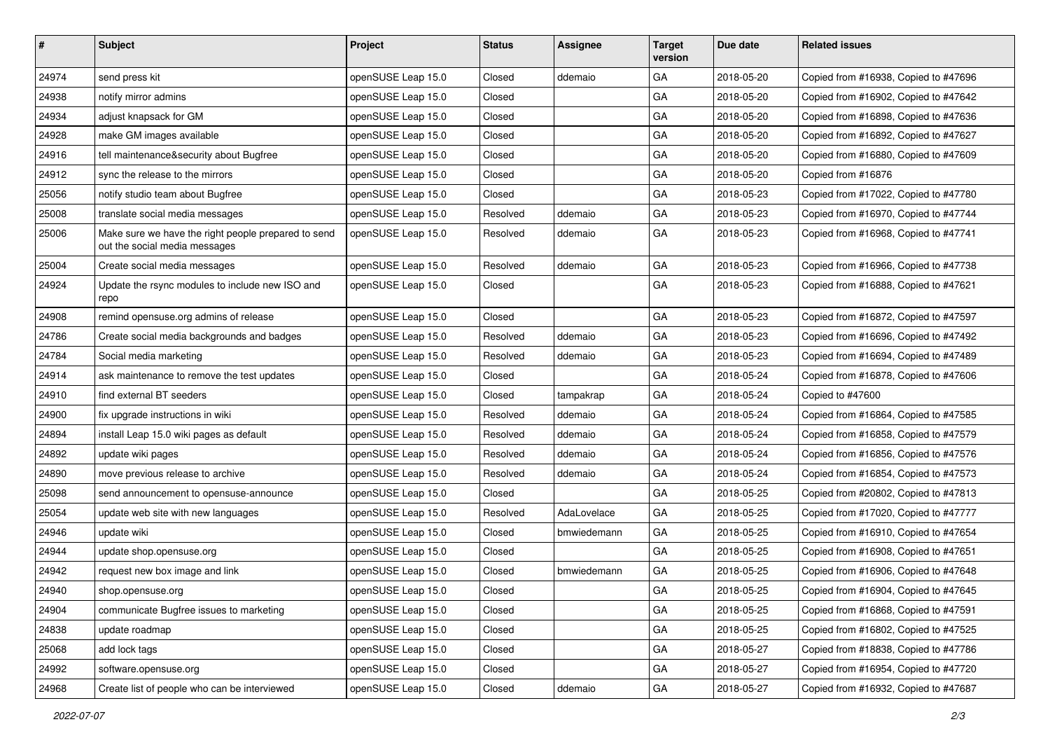| #     | Subject                                                                              | Project            | <b>Status</b> | <b>Assignee</b> | <b>Target</b><br>version | Due date   | <b>Related issues</b>                |
|-------|--------------------------------------------------------------------------------------|--------------------|---------------|-----------------|--------------------------|------------|--------------------------------------|
| 24974 | send press kit                                                                       | openSUSE Leap 15.0 | Closed        | ddemaio         | GA                       | 2018-05-20 | Copied from #16938, Copied to #47696 |
| 24938 | notify mirror admins                                                                 | openSUSE Leap 15.0 | Closed        |                 | GA                       | 2018-05-20 | Copied from #16902, Copied to #47642 |
| 24934 | adjust knapsack for GM                                                               | openSUSE Leap 15.0 | Closed        |                 | GA                       | 2018-05-20 | Copied from #16898, Copied to #47636 |
| 24928 | make GM images available                                                             | openSUSE Leap 15.0 | Closed        |                 | GA                       | 2018-05-20 | Copied from #16892, Copied to #47627 |
| 24916 | tell maintenance&security about Bugfree                                              | openSUSE Leap 15.0 | Closed        |                 | GA                       | 2018-05-20 | Copied from #16880, Copied to #47609 |
| 24912 | sync the release to the mirrors                                                      | openSUSE Leap 15.0 | Closed        |                 | GA                       | 2018-05-20 | Copied from #16876                   |
| 25056 | notify studio team about Bugfree                                                     | openSUSE Leap 15.0 | Closed        |                 | GA                       | 2018-05-23 | Copied from #17022, Copied to #47780 |
| 25008 | translate social media messages                                                      | openSUSE Leap 15.0 | Resolved      | ddemaio         | GA                       | 2018-05-23 | Copied from #16970, Copied to #47744 |
| 25006 | Make sure we have the right people prepared to send<br>out the social media messages | openSUSE Leap 15.0 | Resolved      | ddemaio         | GA                       | 2018-05-23 | Copied from #16968, Copied to #47741 |
| 25004 | Create social media messages                                                         | openSUSE Leap 15.0 | Resolved      | ddemaio         | GA                       | 2018-05-23 | Copied from #16966, Copied to #47738 |
| 24924 | Update the rsync modules to include new ISO and<br>repo                              | openSUSE Leap 15.0 | Closed        |                 | GA                       | 2018-05-23 | Copied from #16888, Copied to #47621 |
| 24908 | remind opensuse.org admins of release                                                | openSUSE Leap 15.0 | Closed        |                 | GA                       | 2018-05-23 | Copied from #16872, Copied to #47597 |
| 24786 | Create social media backgrounds and badges                                           | openSUSE Leap 15.0 | Resolved      | ddemaio         | GA                       | 2018-05-23 | Copied from #16696, Copied to #47492 |
| 24784 | Social media marketing                                                               | openSUSE Leap 15.0 | Resolved      | ddemaio         | GA                       | 2018-05-23 | Copied from #16694, Copied to #47489 |
| 24914 | ask maintenance to remove the test updates                                           | openSUSE Leap 15.0 | Closed        |                 | GA                       | 2018-05-24 | Copied from #16878, Copied to #47606 |
| 24910 | find external BT seeders                                                             | openSUSE Leap 15.0 | Closed        | tampakrap       | GA                       | 2018-05-24 | Copied to #47600                     |
| 24900 | fix upgrade instructions in wiki                                                     | openSUSE Leap 15.0 | Resolved      | ddemaio         | GA                       | 2018-05-24 | Copied from #16864, Copied to #47585 |
| 24894 | install Leap 15.0 wiki pages as default                                              | openSUSE Leap 15.0 | Resolved      | ddemaio         | GA                       | 2018-05-24 | Copied from #16858, Copied to #47579 |
| 24892 | update wiki pages                                                                    | openSUSE Leap 15.0 | Resolved      | ddemaio         | GA                       | 2018-05-24 | Copied from #16856, Copied to #47576 |
| 24890 | move previous release to archive                                                     | openSUSE Leap 15.0 | Resolved      | ddemaio         | GA                       | 2018-05-24 | Copied from #16854, Copied to #47573 |
| 25098 | send announcement to opensuse-announce                                               | openSUSE Leap 15.0 | Closed        |                 | GA                       | 2018-05-25 | Copied from #20802, Copied to #47813 |
| 25054 | update web site with new languages                                                   | openSUSE Leap 15.0 | Resolved      | AdaLovelace     | GA                       | 2018-05-25 | Copied from #17020, Copied to #47777 |
| 24946 | update wiki                                                                          | openSUSE Leap 15.0 | Closed        | bmwiedemann     | GA                       | 2018-05-25 | Copied from #16910, Copied to #47654 |
| 24944 | update shop.opensuse.org                                                             | openSUSE Leap 15.0 | Closed        |                 | GA                       | 2018-05-25 | Copied from #16908, Copied to #47651 |
| 24942 | request new box image and link                                                       | openSUSE Leap 15.0 | Closed        | bmwiedemann     | GA                       | 2018-05-25 | Copied from #16906, Copied to #47648 |
| 24940 | shop.opensuse.org                                                                    | openSUSE Leap 15.0 | Closed        |                 | GA                       | 2018-05-25 | Copied from #16904, Copied to #47645 |
| 24904 | communicate Bugfree issues to marketing                                              | openSUSE Leap 15.0 | Closed        |                 | GA                       | 2018-05-25 | Copied from #16868, Copied to #47591 |
| 24838 | update roadmap                                                                       | openSUSE Leap 15.0 | Closed        |                 | GA                       | 2018-05-25 | Copied from #16802, Copied to #47525 |
| 25068 | add lock tags                                                                        | openSUSE Leap 15.0 | Closed        |                 | GA                       | 2018-05-27 | Copied from #18838, Copied to #47786 |
| 24992 | software.opensuse.org                                                                | openSUSE Leap 15.0 | Closed        |                 | GA                       | 2018-05-27 | Copied from #16954, Copied to #47720 |
| 24968 | Create list of people who can be interviewed                                         | openSUSE Leap 15.0 | Closed        | ddemaio         | GA                       | 2018-05-27 | Copied from #16932, Copied to #47687 |